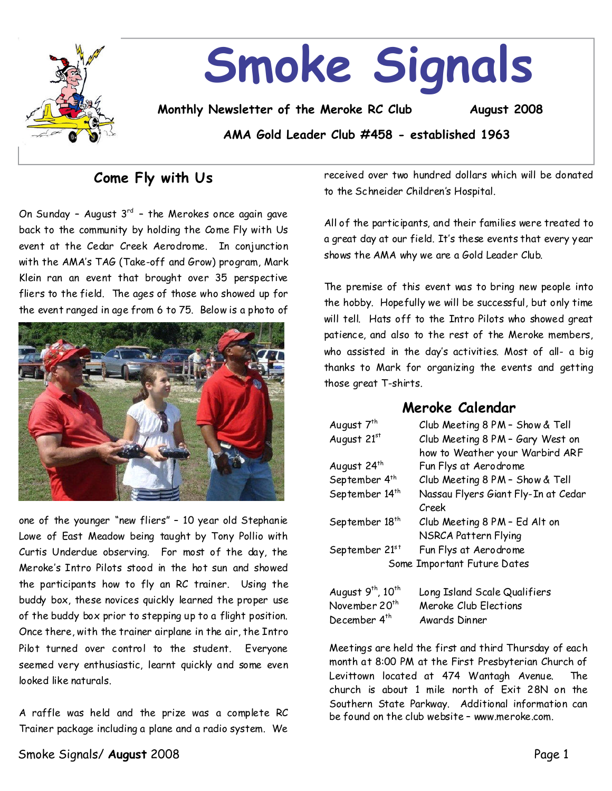

## **Come Fly with Us**

On Sunday – August 3<sup>rd</sup> – the Merokes once again gave back to the community by holding the Come Fly with Us event at the Cedar Creek Aerodrome. In conjunction with the AMA's TAG (Take-off and Grow) program, Mark Klein ran an event that brought over 35 perspective fliers to the field. The ages of those who showed up for the event ranged in age from 6 to 75. Below is a photo of



one of the younger "new fliers" - 10 year old Stephanie Lowe of East Meadow being taught by Tony Pollio with Curtis Underdue observing. For most of the day, the Meroke's Intro Pilots stood in the hot sun and showed the participants how to fly an RC trainer. Using the buddy box, these novices quickly learned the proper use of the buddy box prior tostepping up to a flight position. Once there, with the trainer airplane in the air, the Intro Pilot turned over control to the student. Everyone seemed very enthusiastic, learnt quickly and some even looked like naturals.

A raffle was held and the prize was a complete RC Trainer package including a plane and a radio system. We received over two hundred dollars which will be donated to the Schneider Children's Hospital.

All of the participants, and their families were treated to a great day at our field. It's these events that every year shows the AMA why we are a Gold Leader Club.

The premise of this event was to bring new people into the hobby. Hopefully we will be successful, but only time will tell. Hats off to the Intro Pilots who showed great patience, and also to the rest of the Meroke members, who assisted in the day's activities. Most of all-a big thanks to Mark for organizing the events and getting those great T-shirts.

### **Meroke Calendar**

| August 7 <sup>th</sup>                    | Club Meeting 8 PM - Show & Tell     |  |  |
|-------------------------------------------|-------------------------------------|--|--|
| August 21st                               | Club Meeting 8 PM - Gary West on    |  |  |
|                                           | how to Weather your Warbird ARF     |  |  |
| August 24th                               | Fun Flys at Aerodrome               |  |  |
| September 4 <sup>th</sup>                 | Club Meeting 8 PM - Show & Tell     |  |  |
| September 14 <sup>th</sup>                | Nassau Flyers Giant Fly-In at Cedar |  |  |
|                                           | Creek                               |  |  |
| September 18 <sup>th</sup>                | Club Meeting 8 PM - Ed Alt on       |  |  |
|                                           | NSRCA Pattern Flying                |  |  |
| September 21st                            | Fun Flys at Aerodrome               |  |  |
| Some Important Future Dates               |                                     |  |  |
| August 9 <sup>th</sup> , 10 <sup>th</sup> | Long Island Scale Qualifiers        |  |  |
| November 20 <sup>th</sup>                 | Meroke Club Elections               |  |  |
| December 4 <sup>th</sup>                  | Awards Dinner                       |  |  |

Meetings are held the first and third Thursday of each month at 8:00 PM at the First Presbyterian Church of Levittown located at 474 Wantagh Avenue. The church is about 1 mile north of Exit 28N on the Southern State Parkway. Additional information can be found on the club website–www.meroke.com.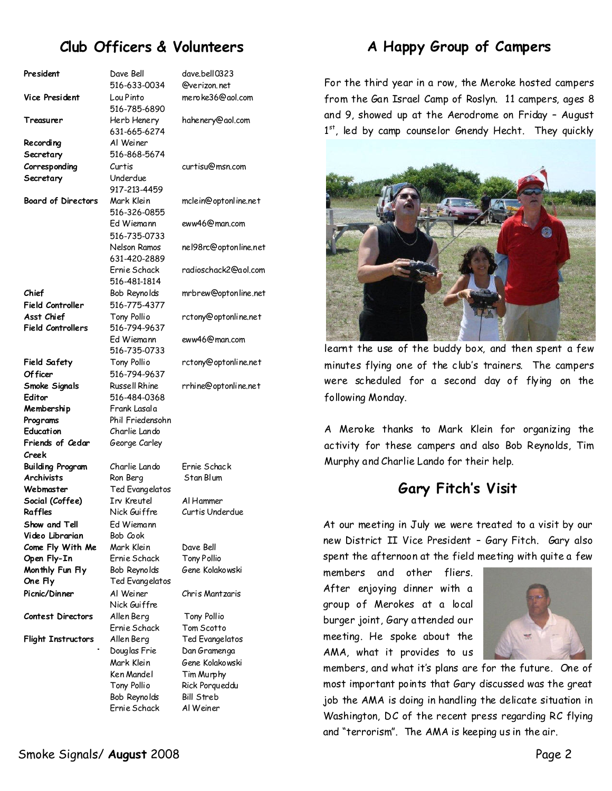## **Club Officers & Volunteers**

| President                 | Dave Bell            | dave.bell0323         |  |
|---------------------------|----------------------|-----------------------|--|
|                           | 516-633-0034         | @verizon.net          |  |
| <b>Vice President</b>     | Lou Pinto            | meroke36@gol.com      |  |
|                           | 516-785-6890         |                       |  |
| Treasurer                 | Herb Henery          | hahenery@aol.com      |  |
|                           | 631-665-6274         |                       |  |
|                           |                      |                       |  |
| Recording                 | Al Weiner            |                       |  |
| Secretary                 | 516-868-5674         |                       |  |
| Corresponding             | Curtis               | curtisu@msn.com       |  |
| Secretary                 | Underdue             |                       |  |
|                           | 917-213-4459         |                       |  |
| <b>Board of Directors</b> | Mark Klein           | mclein@optonline.net  |  |
|                           | 516-326-0855         |                       |  |
|                           | Ed Wiemann           | eww46@man.com         |  |
|                           | 516-735-0733         |                       |  |
|                           |                      |                       |  |
|                           | Nelson Ramos         | ne198rc@optonline.net |  |
|                           | 631-420-2889         |                       |  |
|                           | Ernie Schack         | radioschack2@aol.com  |  |
|                           | 516-481-1814         |                       |  |
| Chief                     | Bob Reynolds         | mrbrew@optonline.net  |  |
| <b>Field Controller</b>   | 516-775-4377         |                       |  |
| Asst Chief                | Tony Pollio          | rctony@optonline.net  |  |
| <b>Field Controllers</b>  | 516-794-9637         |                       |  |
|                           | Ed Wiemann           | eww46@man.com         |  |
|                           | 516-735-0733         |                       |  |
| <b>Field Safety</b>       | Tony Pollio          |                       |  |
|                           |                      | rctony@optonline.net  |  |
| Of ficer                  | 516-794-9637         |                       |  |
| Smoke Signals             | <b>Russell Rhine</b> | rrhine@optonline.net  |  |
| Editor                    | 516-484-0368         |                       |  |
| Membership                | Frank Lasala         |                       |  |
| Programs                  | Phil Friedensohn     |                       |  |
| Education                 | Charlie Lando        |                       |  |
| Friends of Cedar          | George Carley        |                       |  |
| Creek                     |                      |                       |  |
| Building Program          | Charlie Lando        | Frnie Schack          |  |
| <b>Archivists</b>         | Ron Berg             | Stan Blum             |  |
| Webmaster                 | Ted Evangelatos      |                       |  |
| Social (Coffee)           | Irv Kreutel          | Al Hammer             |  |
| Raffles                   | Nick Guiffre         | Curtis Underdue       |  |
|                           |                      |                       |  |
| Show and Tell             | Ed Wiemann           |                       |  |
| Video Librarian           | Bob Cook             |                       |  |
| Come Fly With Me          | Mark Klein           | Dave Bell             |  |
| Open Fly-In               | Ernie Schack         | <b>Tony Pollio</b>    |  |
| Monthly Fun Fly           | Bob Reynolds         | Gene Kolakowski       |  |
| One Fly                   | Ted Evangelatos      |                       |  |
| Picnic/Dinner             | Al Weiner            | Chris Mantzaris       |  |
|                           | Nick Guiffre         |                       |  |
| <b>Contest Directors</b>  | Allen Berg           | Tony Pollio           |  |
|                           | Ernie Schack         | Tom Scotto            |  |
| <b>Flight Instructors</b> | Allen Berg           | Ted Evangelatos       |  |
|                           |                      |                       |  |
|                           | Douglas Frie         | Dan Gramenga          |  |
|                           | Mark Klein           | Gene Kolakowski       |  |
|                           | Ken Mandel           | Tim Murphy            |  |
|                           | Tony Pollio          | Rick Porqueddu        |  |
|                           | Bob Reynolds         | <b>Bill Streb</b>     |  |
|                           | Ernie Schack         | Al Weiner             |  |

## **A Happy Group of Campers**

For the third year in a row, the Meroke hosted campers from the Gan Israel Camp of Roslyn. 11 campers, ages 8 and 9, showed up at the Aerodrome on Friday - August 1st, led by camp counselor Gnendy Hecht. They quickly



learnt the use of the buddy box, and then spent a few minutes flying one of the club's trainers. The campers were scheduled for a second day of flying on the following Monday.

A Meroke thanks to Mark Klein for organizing the activity for these campers and also Bob Reynolds, Tim Murphy and Charlie Lando for their help.

## **Gary Fitch's Visit**

At our meeting in July we were treated to a visit by our new District II Vice President - Gary Fitch. Gary also spent the afternoon at the field meeting with quite a few

members and other fliers. After enjoying dinner with a group of Merokes at a local burger joint, Gary attended our meeting. He spoke about the AMA, what it provides to us



members, and what it's plans are for the future. One of most important points that Gary discussed was the great job the AMA is doing in handling the delicate situation in Washington, DC of the recent press regarding RC flying and "terrorism". The AMA is keeping us in the air.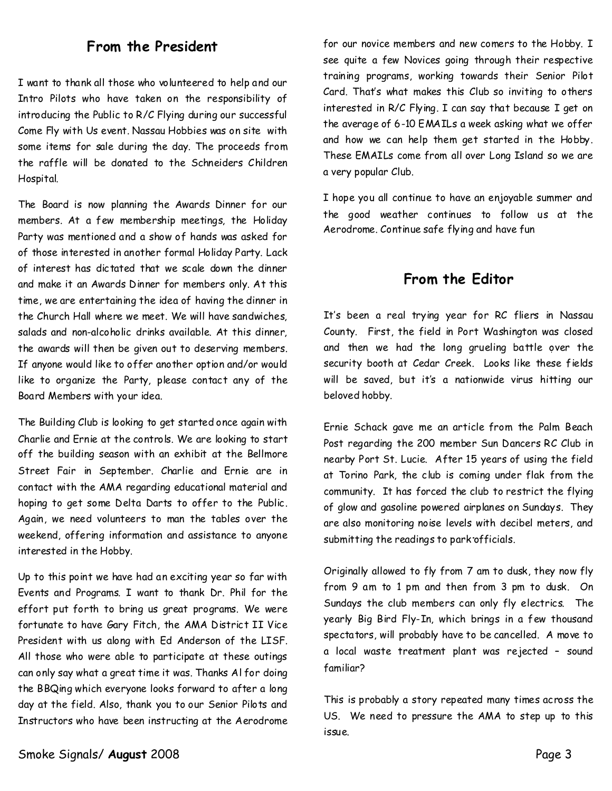## **From the President**

I want to thank all those who volunteered to help and our Intro Pilots who have taken on the responsibility of introducing the Public to R/C Flying during our successful Come Fly with Us event. Nassau Hobbies was on site with some items for sale during the day. The proceeds from the raffle will be donated to the Schneiders Children **Hospital** 

The Board is now planning the Awards Dinner for our members. At a few membership meetings, the Holiday Party was mentioned and a show of hands was asked for of those interested in another formal Holiday Party. Lack of interest has dictated that we scale down the dinner and make it an Awards Dinner for members only. At this time, we are entertaining the idea of having the dinner in the Church Hall where we meet. We will have sandwiches, salads and non-alcoholic drinks available. At this dinner, the awards will then be given out to deserving members. If anyone would like to offer another option and/or would like to organize the Party, please contact any of the Board Members with your idea.

The Building Club is looking to get started once again with Charlie and Ernie at the controls. We are looking to start off the building season with an exhibit at the Bellmore Street Fair in September. Charlie and Ernie are in contact with the AMA regarding educational material and hoping to get some Delta Darts to offer to the Public. Again, we need volunteers to man the tables over the weekend, offering information and assistance to anyone interested in the Hobby.

Up to this point we have had an exciting year so far with Events and Programs. I want to thank Dr. Phil for the effort put forth to bring us great programs. We were fortunate to have Gary Fitch, the AMA District II Vice President with us along with Ed Anderson of the LISF. All those who were able to participate at these outings can only say what a great time it was. Thanks Al for doing the BBQing which everyone looks forward to after a long day at the field. Also, thank you to our Senior Pilots and Instructors who have been instructing at the Aerodrome for our novice members and new comers to the Hobby. I see quite a few Novices going through their respective training programs, working towards their Senior Pilot Card. That's what makes this Club so inviting to others interested in R/C Flying. I can say that because I get on the average of 6-10 EMAILs a week asking what we offer and how we can help them get started in the Hobby. These EMAILs come from all over Long Island so we are a very popular Club.

I hope you all continue to have an enjoyable summer and the good weather continues to follow us at the Aerodrome. Continue safe flying and have fun

### **From the Editor**

It's been a real trying year for RC fliers in Nassau County. First, the field in Port Washington was closed and then we had the long grueling battle over the security booth at Cedar Creek. Looks like these fields will be saved, but it's a nationwide virus hitting our beloved hobby.

Ernie Schack gave me an article from the Palm Beach Post regarding the 200 member Sun Dancers RC Club in nearby Port St.Lucie. After15 years of using the field at Torino Park, the club is coming under flak from the community. It has forced the club to restrict the flying of glow and gasoline powered airplanes on Sundays. They are also monitoring noise levels with decibel meters, and submitting the readings to park officials.

Originally allowed to fly from 7 am to dusk, they nowfly from 9 am to 1 pm and then from 3 pm to dusk. On Sundays the club members can only fly electrics. The yearly Big Bird Fly-In, which brings in a few thousand spectators,will probably have to be cancelled. A move to a local waste treatment plant was rejected – sound familiar?

This is probably a story repeated many times across the US. We need to pressure the AMA to step up to this issue.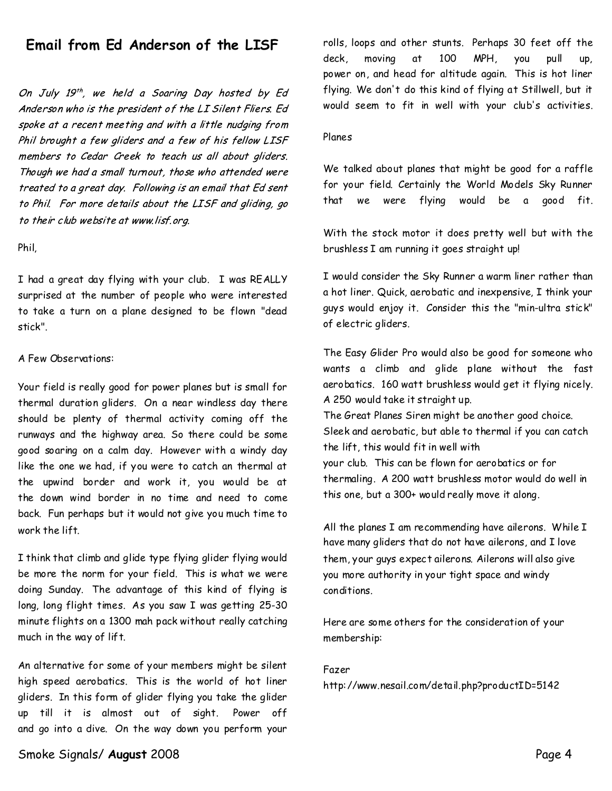## Email from Ed Anderson of the LISF

On July 19<sup>th</sup>, we held a Soaring Day hosted by Ed Anderson who is the president of the LI Silent Fliers. Ed spoke at a recent meeting and with a little nudging from Phil brought a few gliders and a few of his fellow LISF members to Cedar Greek to teach us all about gliders. Though we had a small turnout, those who attended were treated to a great day. Following is an email that Ed sent to Phil. For more details about the LISF and gliding, go to their club website at www.lisf.org.

#### Phil,

I had a great day flying with your club. I was REALLY surprised at the number of people who were interested to take a turn on a plane designed tobe flown "dead stick".

#### A Few Observations:

Your field is really good for power planes but is small for thermal duration gliders. On a near windless day there should be plenty of thermal activity coming off the runways and the highway area. So there could be some good soaring on a calm day. However with a windy day like the one we had, if you were to catch an thermal at the upwind border and work it, you would be at the down wind border in no time and need to come back. Fun perhaps but it would not give you much time to work the lift.

I think that climb and glide type flying glider flying would be more the norm for your field. This is what we were doing Sunday. The advantage of this kind of flying is long, long flight times. As you saw I was getting 25-30 minute flights on a 1300 mah pack without really catching much in the way of lift.

An alternative for some of your members might be silent high speed aerobatics. This is the world of hot liner gliders. In this form of glider flying you take the glider up till it is almost out of sight. Power off and go into a dive. On the way down you perform your

rolls, loops and other stunts. Perhaps 30 feet off the deck, moving at 100 MPH, you pull up, power on, and head for altitude again. This is hot liner flying. We don't do this kind of flying at Stillwell, but it would seem to fit in well with your club's activities.

#### Planes

We talked about planes that might be good for a raffle for your field. Certainly the World Models Sky Runner that we were flying would be a good fit.

With the stock motor it does pretty well but with the brushless I am running it goes straight up!

I would consider the Sky Runner a warm liner rather than a hot liner. Quick, aerobatic and inexpensive, I think your guys would enjoy it. Consider this the "min-ultra stick" of electric gliders.

The Easy Glider Pro would also be good for someone who wants a climb and glide plane without the fast aerobatics. 160 watt brushless would get it flying nicely. A 250 would take it straight up. The Great Planes Siren might be another good choice. Sleek and aerobatic, but able to thermal if you can catch the lift, this would fit in well with your club.This can be flown for aerobatics or for thermaling. A 200 watt brushless motor would do well in this one, but a 300+ would really move it along.

All the planes I am recommending have ailerons. While I have many gliders that do not have ailerons, and I love them, your guys expect ailerons. Ailerons will also give you more authority in your tight space and windy conditions.

Here are some others for the consideration of your membership:

#### Fazer

http://www.nesail.com/detail.php?productID=5142

#### Smoke Signals/**August** 2008 Page 4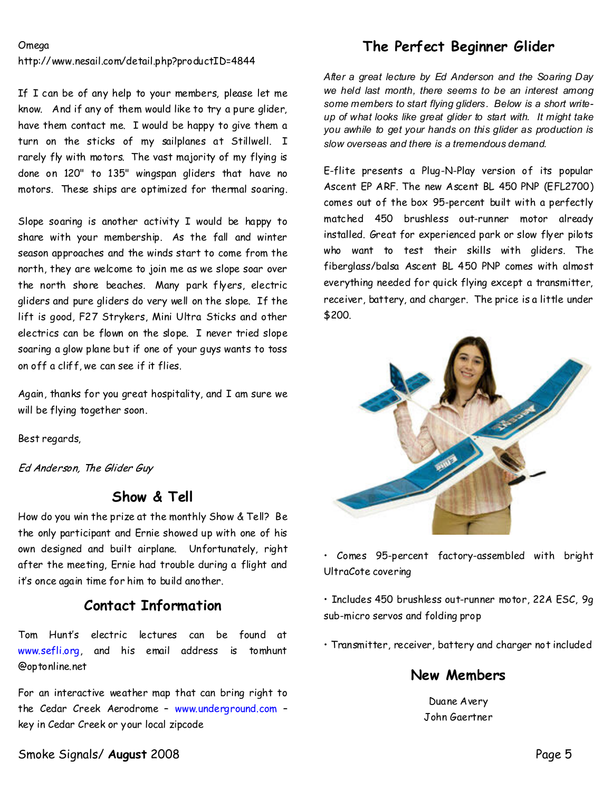#### **Omega**

http://www.nesail.com/detail.php?productID=4844

If I can be of any help to your members, please let me know. And if any of them would like to try a pure glider, have them contact me. I would be happy to give them a turn on the sticks of my sailplanes at Stillwell. I rarely fly with motors. The vast majority of my flying is done on 120" to 135" wingspan gliders that have no motors. These ships are optimized for thermal soaring.

Slope soaring is another activity I would be happy to share with your membership. As the fall and winter season approaches and the winds start to come from the north, they are welcome to join me as we slope soar over the north shore beaches. Many park flyers, electric gliders and pure gliders do very well on the slope. If the lift is good, F27 Strykers, Mini Ultra Sticks and other electrics can be flown on the slope. I never tried slope soaring a glow plane but if one of your guys wants to toss on off a cliff,we can see if it flies.

Again, thanks for you great hospitality, and I am sure we will be flying together soon.

Best regards,

Ed Anderson, The Glider Guy

## **Show & Tell**

How do you win the prize at the monthly Show & Tell? Be the only participant and Ernie showed up with one of his own designed and built airplane. Unfortunately, right after the meeting, Ernie had trouble during a flight and it's once again time for him to build another.

### **Contact Information**

Tom Hunt's electric lectures can be found at www.sefli.org, and his email address is tomhunt @optonline.net

For an interactive weather map that can bring right to the Cedar Creek Aerodrome–www.underground.com– key in Cedar Creek or your local zipcode

## **The Perfect Beginner Glider**

*After a great lecture by Ed Anderson and the Soaring Day* we held last month, there seems to be an interest among *some members to start flying gliders.Below is a short write up of what looks like great glider to start with.It might take* you awhile to get your hands on this glider as production is *slow overseas and there is a tremendous demand.*

E-flite presents a Plug-N-Play version of its popular Ascent EP ARF. The new Ascent BL 450 PNP (EFL2700) comes out of the box 95-percent built with a perfectly matched 450 brushless out-runner motor already installed. Great for experienced park or slow flyer pilots who want to test their skills with gliders. The fiberglass/balsa Ascent BL 450 PNP comes with almost everything needed for quick flying except a transmitter, receiver, battery, and charger. The price is a little under \$200.



• Comes 95-percent factory-assembled with bright UltraCote covering

• Includes 450 brushless out-runner motor, 22A ESC, 9g sub-micro servos and folding prop

• Transmitter, receiver, battery and charger not included

### **New Members**

Duane Avery John Gaertner

Smoke Signals/**August** 2008 Page 5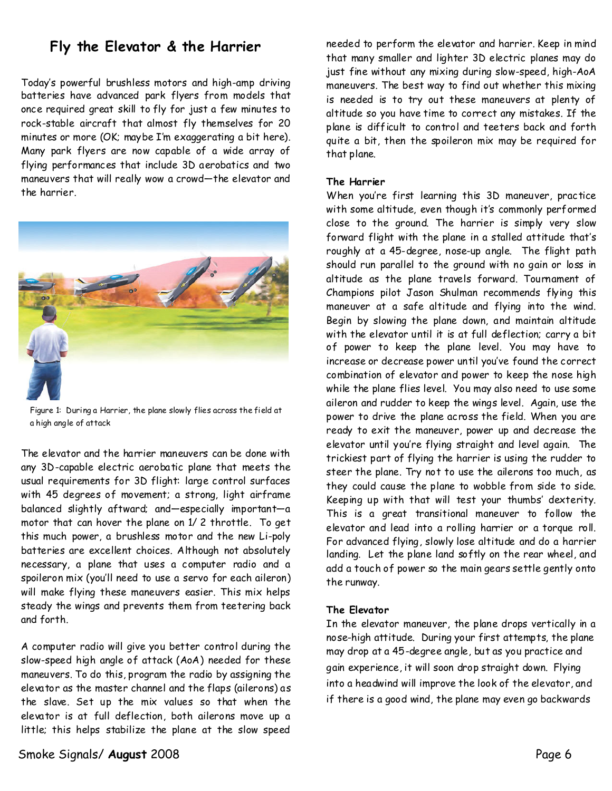## **Fly the Elevator & the Harrier**

Today's powerful brushless motors and high-amp driving batteries have advanced park flyers from models that once required great skill to fly for just a few minutes to rock-stable aircraft that almost fly themselves for 20 minutes or more (OK; maybe I'm exaggerating a bit here). Many park flyers are now capable of a wide array of flying performances that include 3D aerobatics and two maneuvers that will really wow a crowd—the elevator and the harrier.



Figure 1: During a Harrier, the plane slowly flies across the field at a high angle of attack

The elevator and the harrier maneuvers can be done with any 3D-capable electric aerobatic plane that meets the usual requirements for 3D flight: large control surfaces with 45 degrees of movement; a strong, light airframe balanced slightly aftward; and—especially important—a motor that can hover the plane on 1/ 2 throttle. To get this much power, a brushless motor and the new Li-poly batteries are excellent choices. Although not absolutely necessary, a plane that uses a computer radio and a spoileron mix (you'll need to use a servo for each aileron) will make flying these maneuvers easier. This mix helps steady the wings and prevents them from teetering back and forth.

A computer radio will give you better control during the slow-speed high angle of attack (AoA) needed for these maneuvers. To do this, program the radio by assigning the elevator as themaster channel and the flaps (ailerons)as the slave. Set up the mix values so that when the elevator is at full deflection, both ailerons move up a little; this helps stabilize the plane at the slow speed

needed to perform the elevator and harrier. Keep in mind that many smaller and lighter 3D electric planes may do just fine without any mixing during slow-speed, high-AoA maneuvers. The best way to find out whether this mixing is needed is to try out these maneuvers at plenty of altitude so you have time to correct any mistakes. If the plane is difficult to control and teeters back and forth quite a bit, then the spoileron mix may be required for that plane.

#### **The Harrier**

When you're first learning this 3D maneuver, practice with some altitude, even though it's commonly performed close to the ground. The harrier is simply very slow forward flight with the plane in a stalled attitude that's roughly at a 45-degree, nose-up angle. The flight path should run parallel to the ground with no gain or loss in altitude as the plane travels forward. Tournament of Champions pilot Jason Shulman recommends flying this maneuver at a safe altitude and flying into the wind. Begin by slowing the plane down, and maintain altitude with the elevator until it is at full deflection; carry a bit of power to keep the plane level. You may have to increase or decrease power untilyou've found the correct combination of elevator and power to keep the nose high while the plane flies level. You may also need to use some aileron and rudder to keep the wings level. Again, use the power to drive the plane across the field. When you are ready to exit the maneuver, power up and decrease the elevator until you're flying straight and level again. The trickiest part of flying the harrier is using the rudder to steer the plane. Try not to use the ailerons too much, as they could cause the plane to wobble from side to side. Keeping up with that will test your thumbs' dexterity. This is a great transitional maneuver to follow the elevator and lead into a rolling harrier or a torque roll. For advanced flying, slowly lose altitude and do a harrier landing. Let the plane land softly on the rear wheel, and add a touch of power so the main gears settle gently onto the runway.

#### **The Elevator**

In the elevator maneuver, the planedrops vertically in a nose-high attitude. During your first attempts, the plane may drop at a 45-degree angle, but as you practice and gain experience, it will soon drop straight down. Flying into a headwind will improve the look of the elevator, and if there is a good wind, the plane may even go backwards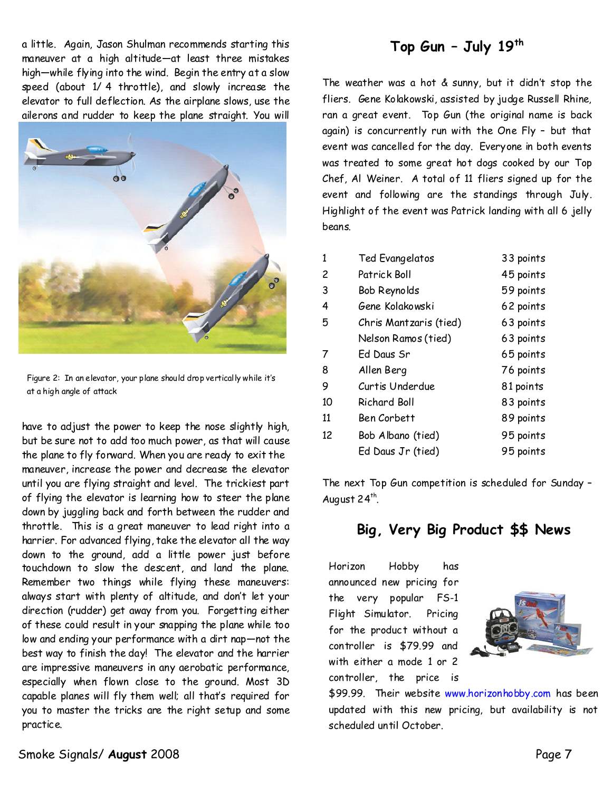a little. Again, Jason Shulman recommends starting this maneuver at a high altitude—at least three mistakes high—while flying into the wind. Begin the entry at a slow speed (about 1/ 4 throttle), and slowly increase the elevator to full deflection. As the airplane slows, use the ailerons and rudder to keep the plane straight. You will



Figure 2: In an elevator, your plane should drop vertically while it's at a high angle of attack

have to adjust the power to keep the nose slightly high, but be sure not to add toomuch power, as that will cause the plane to fly forward. When you are ready to exit the maneuver, increase the power and decrease the elevator until you are flying straight and level.The trickiest part of flying the elevator is learning how to steer the plane down by juggling back and forth between the rudder and throttle. This is a great maneuver to lead right into a harrier. For advanced flying, take the elevator all the way down to the ground, add a little power just before touchdown to slow the descent, and land the plane. Remember two things while flying these maneuvers: always start with plenty of altitude, and don't let your direction (rudder) get away from you. Forgetting either of these could result in your snapping the plane while too low and ending your performancewith a dirt nap—not the best way to finish the day! The elevator and the harrier are impressive maneuvers in any aerobatic performance, especially when flown close to the ground. Most 3D capable planes will fly them well; all that's required for you to master the tricks are the right setup and some practice.

# **Top Gun–July19th**

The weather was a hot  $&$  sunny, but it didn't stop the fliers. Gene Kolakowski, assisted by judge Russell Rhine, ran a great event. Top Gun (the original name is back again) is concurrently run with the One Fly - but that event was cancelled for the day. Everyone in both events was treated to some great hot dogs cooked by our Top Chef, Al Weiner. A total of  $11$  fliers signed up for the event and following are the standings through July. Highlight of the event was Patrick landing with all 6 jelly beans.

| 1  | <b>Ted Evangelatos</b> | 33 points |
|----|------------------------|-----------|
| 2  | Patrick Boll           | 45 points |
| 3  | Bob Reynolds           | 59 points |
| 4  | Gene Kolakowski        | 62 points |
| 5  | Chris Mantzaris (tied) | 63 points |
|    | Nelson Ramos (tied)    | 63 points |
| 7  | Ed Daus Sr             | 65 points |
| 8  | Allen Berg             | 76 points |
| 9  | Curtis Underdue        | 81 points |
| 10 | <b>Richard Boll</b>    | 83 points |
| 11 | Ben Corbett            | 89 points |
| 12 | Bob Albano (tied)      | 95 points |
|    | Ed Daus Jr (tied)      | 95 points |
|    |                        |           |

The next Top Gun competition is scheduled for Sunday– August 24<sup>th</sup>.

## **Big, Very Big Product\$\$News**

Horizon Hobby has announced new pricing for the very popular FS-1 Flight Simulator. Pricing for the product without a controller is \$79.99 and with either a mode 1 or 2 controller, the price is



\$99.99. Their website www.horizonhobby.com has been updated with this new pricing, but availability is not scheduled until October.